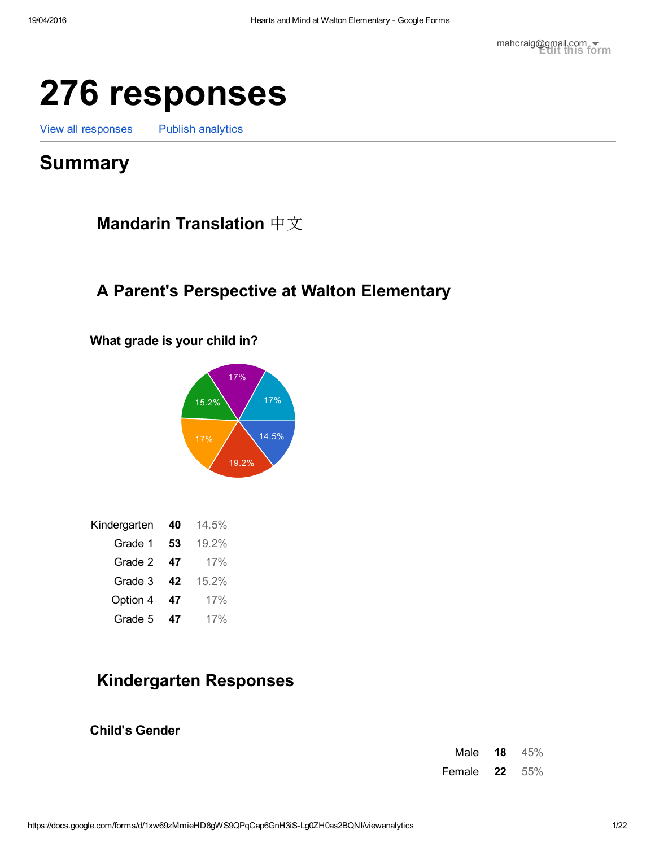# 276 responses

View all [responses](https://docs.google.com/spreadsheets/d/1inYW-nYihNrBw2VbDqnwpjvOA7tpNF5-L6wrvImnOs8?usp=forms_web_l#gid=1147251119) Publish [analytics](https://docs.google.com/forms/d/1xw69zMmieHD8gWS9QPqCap6GnH3iS-Lg0ZH0as2BQNI/edit#start=publishanalytics)

# Summary

Mandarin Translation 中文

# A Parent's Perspective at Walton Elementary

What grade is your child in?



| Kindergarten | 40 | 14.5% |
|--------------|----|-------|
| Grade 1      | 53 | 19.2% |
| Grade 2      | 47 | 17%   |
| Grade 3      | 42 | 15.2% |
| Option 4     | 47 | 17%   |
| Grade 5      | 47 | 17%   |

# Kindergarten Responses

Child's Gender

| Male   | 18 | 45% |
|--------|----|-----|
| Female | 22 | 55% |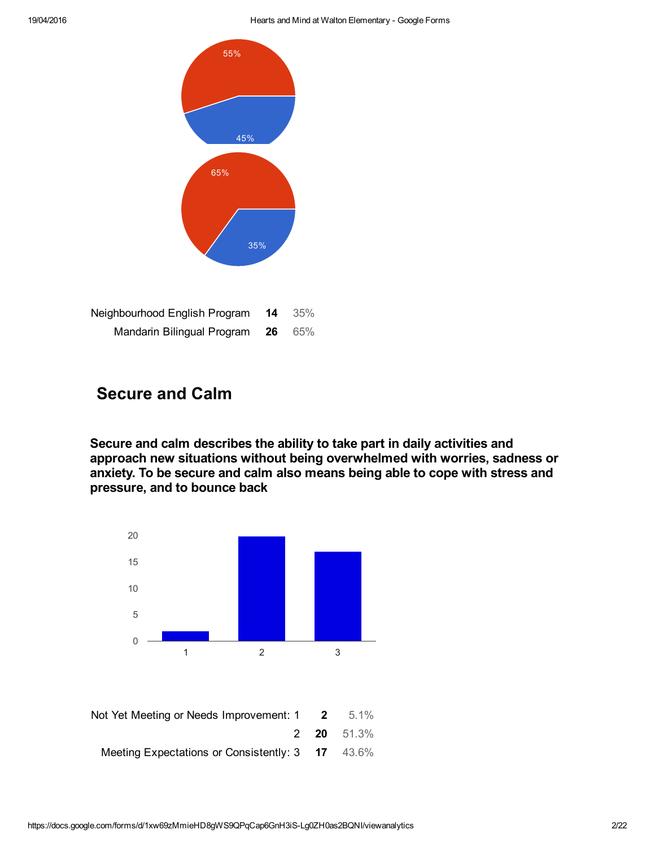

| Neighbourhood English Program | 14 | 35% |
|-------------------------------|----|-----|
| Mandarin Bilingual Program    | 26 | 65% |

# Secure and Calm

Secure and calm describes the ability to take part in daily activities and approach new situations without being overwhelmed with worries, sadness or anxiety. To be secure and calm also means being able to cope with stress and pressure, and to bounce back

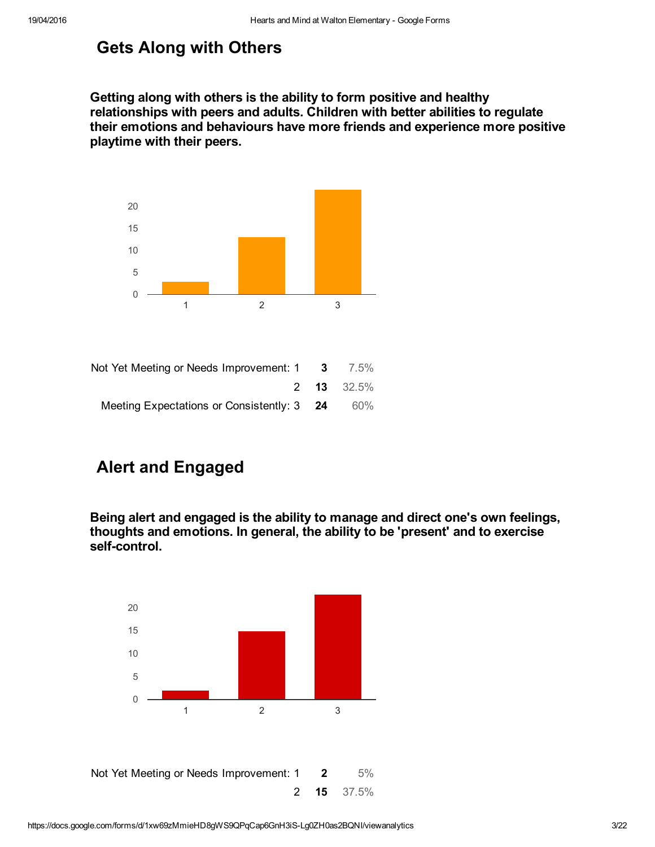# Gets Along with Others

Getting along with others is the ability to form positive and healthy relationships with peers and adults. Children with better abilities to regulate their emotions and behaviours have more friends and experience more positive playtime with their peers.



| Not Yet Meeting or Needs Improvement: $1 \quad 3 \quad 7.5\%$ |                   |
|---------------------------------------------------------------|-------------------|
|                                                               | <b>2 13</b> 32.5% |
| Meeting Expectations or Consistently: 3 24                    | 60%               |

# Alert and Engaged

Being alert and engaged is the ability to manage and direct one's own feelings, thoughts and emotions. In general, the ability to be 'present' and to exercise self-control.

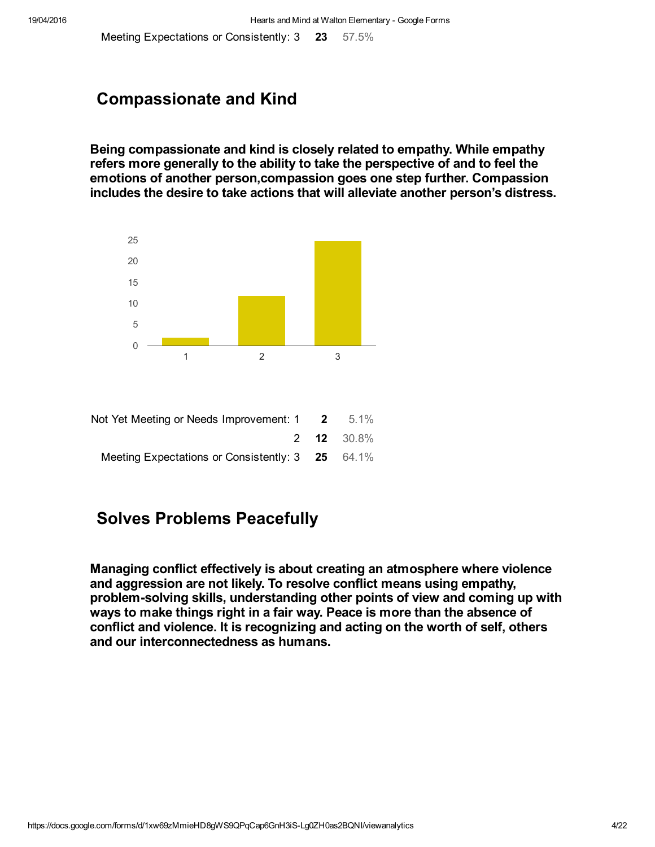Meeting Expectations or Consistently: 3 23 57.5%

### Compassionate and Kind

Being compassionate and kind is closely related to empathy. While empathy refers more generally to the ability to take the perspective of and to feel the emotions of another person,compassion goes one step further. Compassion includes the desire to take actions that will alleviate another person's distress.



|                   | Not Yet Meeting or Needs Improvement: $1 \t 2 \t 5.1\%$ |
|-------------------|---------------------------------------------------------|
| <b>2 12</b> 30.8% |                                                         |
|                   | Meeting Expectations or Consistently: 3 25 64.1%        |

# Solves Problems Peacefully

Managing conflict effectively is about creating an atmosphere where violence and aggression are not likely. To resolve conflict means using empathy, problem-solving skills, understanding other points of view and coming up with ways to make things right in a fair way. Peace is more than the absence of conflict and violence. It is recognizing and acting on the worth of self, others and our interconnectedness as humans.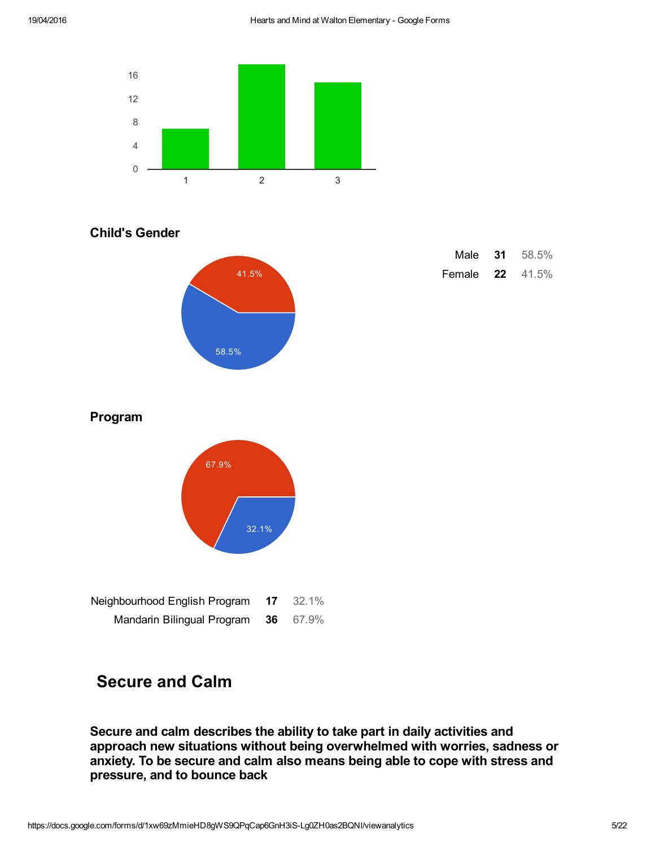

#### Child's Gender



| Male   | 31 | 58.5% |
|--------|----|-------|
| Female | 22 | 41.5% |

#### Program



| Neignbournood English Program | $11 \quad 32.1\%$ |
|-------------------------------|-------------------|
| Mandarin Bilingual Program    | <b>36</b> 67.9%   |

# Secure and Calm

Secure and calm describes the ability to take part in daily activities and approach new situations without being overwhelmed with worries, sadness or anxiety. To be secure and calm also means being able to cope with stress and pressure, and to bounce back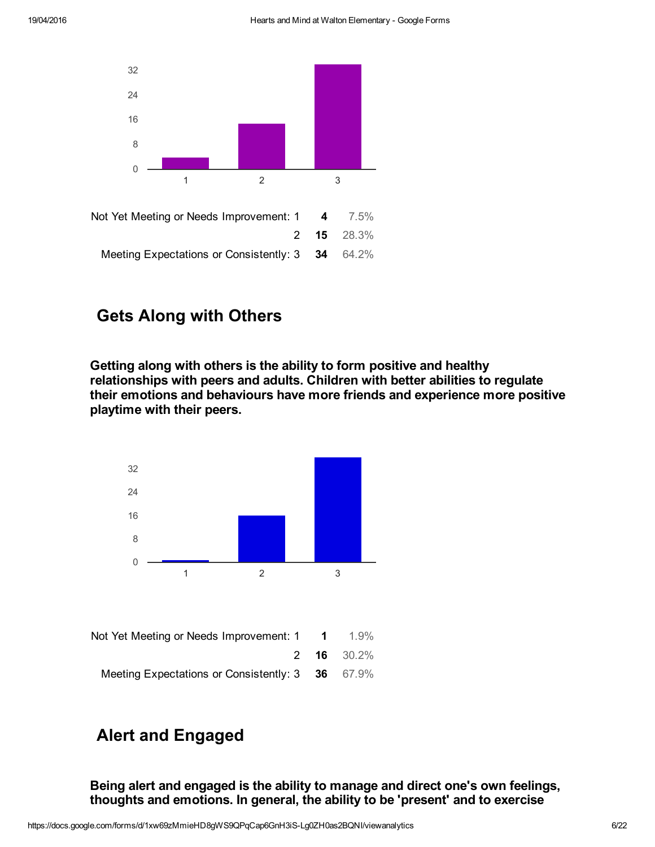

# Gets Along with Others

Getting along with others is the ability to form positive and healthy relationships with peers and adults. Children with better abilities to regulate their emotions and behaviours have more friends and experience more positive playtime with their peers.



# Alert and Engaged

Being alert and engaged is the ability to manage and direct one's own feelings, thoughts and emotions. In general, the ability to be 'present' and to exercise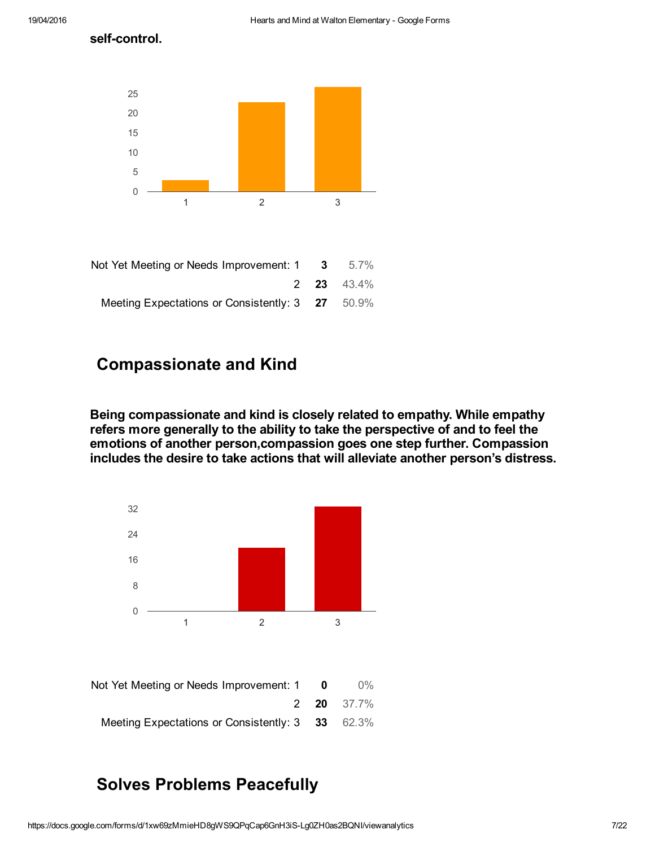self-control.



| Not Yet Meeting or Needs Improvement: $1 \quad 3 \quad 5.7\%$ |  |
|---------------------------------------------------------------|--|
| <b>2 23 43.4%</b>                                             |  |
| Meeting Expectations or Consistently: 3 27 50.9%              |  |

### Compassionate and Kind

Being compassionate and kind is closely related to empathy. While empathy refers more generally to the ability to take the perspective of and to feel the emotions of another person,compassion goes one step further. Compassion includes the desire to take actions that will alleviate another person's distress.



| Not Yet Meeting or Needs Improvement: 1 0        | $0\%$             |
|--------------------------------------------------|-------------------|
|                                                  | <b>2 20</b> 37.7% |
| Meeting Expectations or Consistently: 3 33 62.3% |                   |

# Solves Problems Peacefully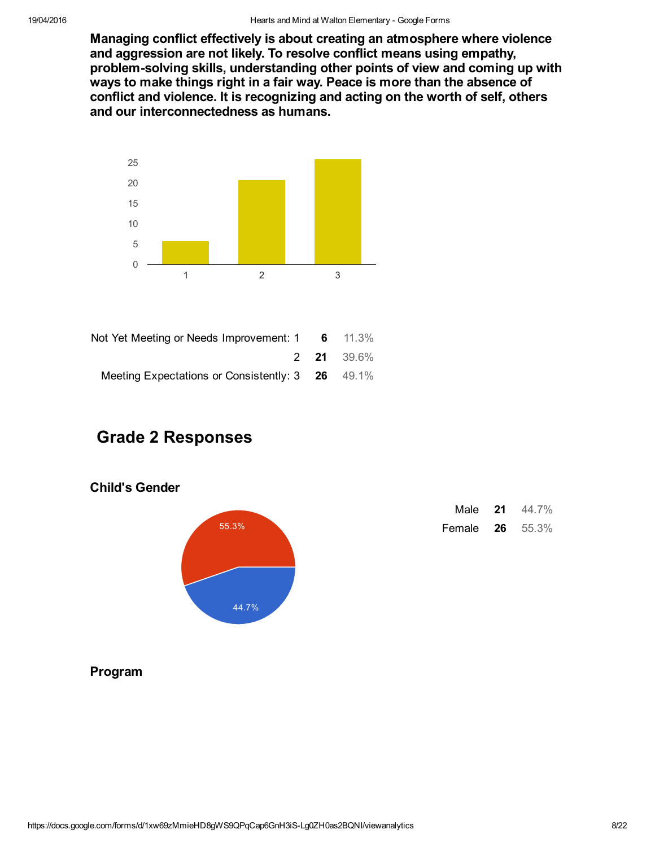Managing conflict effectively is about creating an atmosphere where violence and aggression are not likely. To resolve conflict means using empathy, problem-solving skills, understanding other points of view and coming up with ways to make things right in a fair way. Peace is more than the absence of conflict and violence. It is recognizing and acting on the worth of self, others and our interconnectedness as humans.



| Not Yet Meeting or Needs Improvement: $1 \t 6 \t 11.3\%$ |  |
|----------------------------------------------------------|--|
| <b>2 21</b> 39.6%                                        |  |
| Meeting Expectations or Consistently: 3 26 49.1%         |  |

# Grade 2 Responses

#### Child's Gender



| Male   | 21 | 44.7% |
|--------|----|-------|
| Female | 26 | 55.3% |

#### Program

https://docs.google.com/forms/d/1xw69zMmieHD8gWS9QPqCap6GnH3iS-Lq0ZH0as2BQNI/viewanalytics 8/22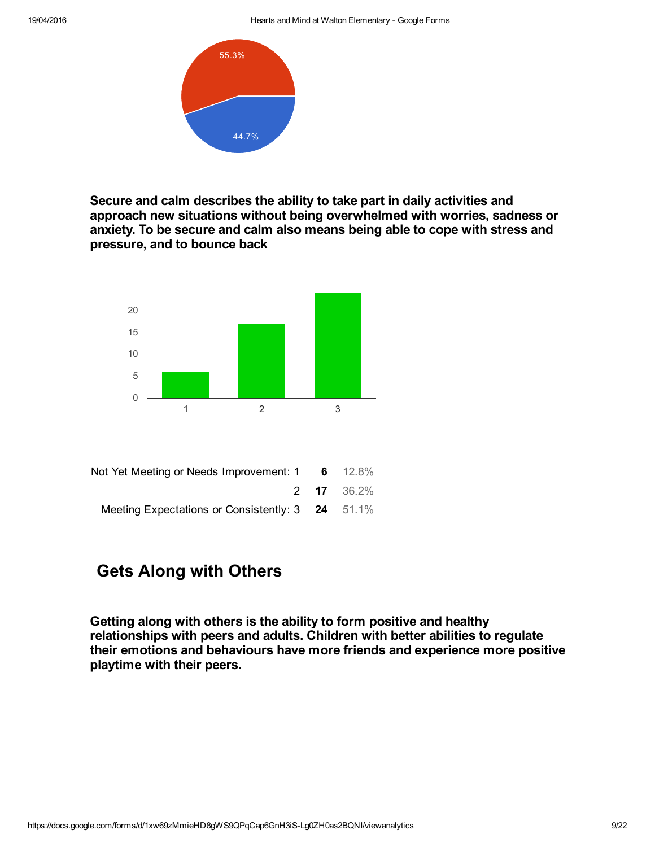

Secure and calm describes the ability to take part in daily activities and approach new situations without being overwhelmed with worries, sadness or anxiety. To be secure and calm also means being able to cope with stress and pressure, and to bounce back



Meeting Expectations or Consistently: 3 24 51.1%

# Gets Along with Others

Getting along with others is the ability to form positive and healthy relationships with peers and adults. Children with better abilities to regulate their emotions and behaviours have more friends and experience more positive playtime with their peers.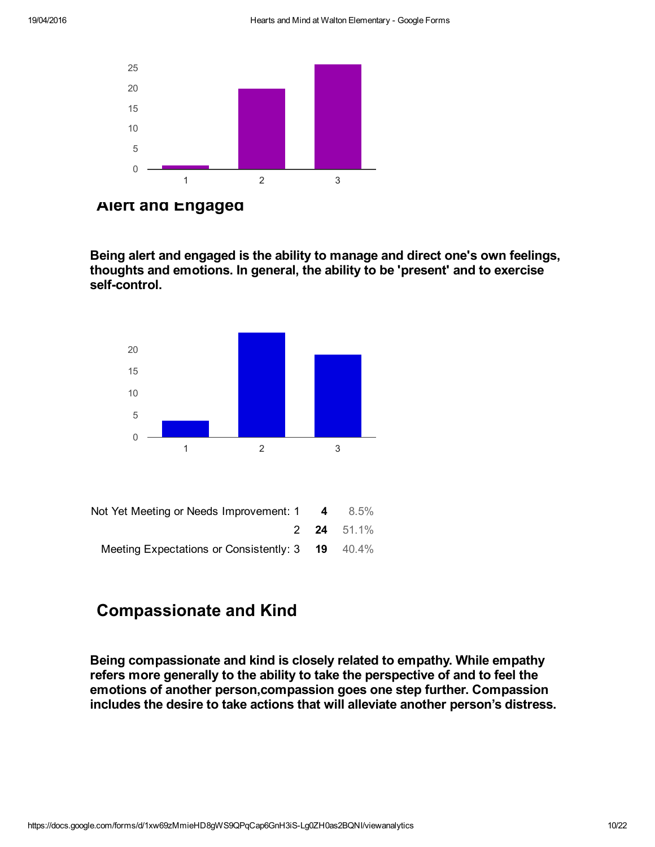

Alert and Engaged

Being alert and engaged is the ability to manage and direct one's own feelings, thoughts and emotions. In general, the ability to be 'present' and to exercise self-control.



| $8.5\%$           | Not Yet Meeting or Needs Improvement: 1 4        |
|-------------------|--------------------------------------------------|
| <b>2 24 51.1%</b> |                                                  |
|                   | Meeting Expectations or Consistently: 3 19 40.4% |

# Compassionate and Kind

Being compassionate and kind is closely related to empathy. While empathy refers more generally to the ability to take the perspective of and to feel the emotions of another person,compassion goes one step further. Compassion includes the desire to take actions that will alleviate another person's distress.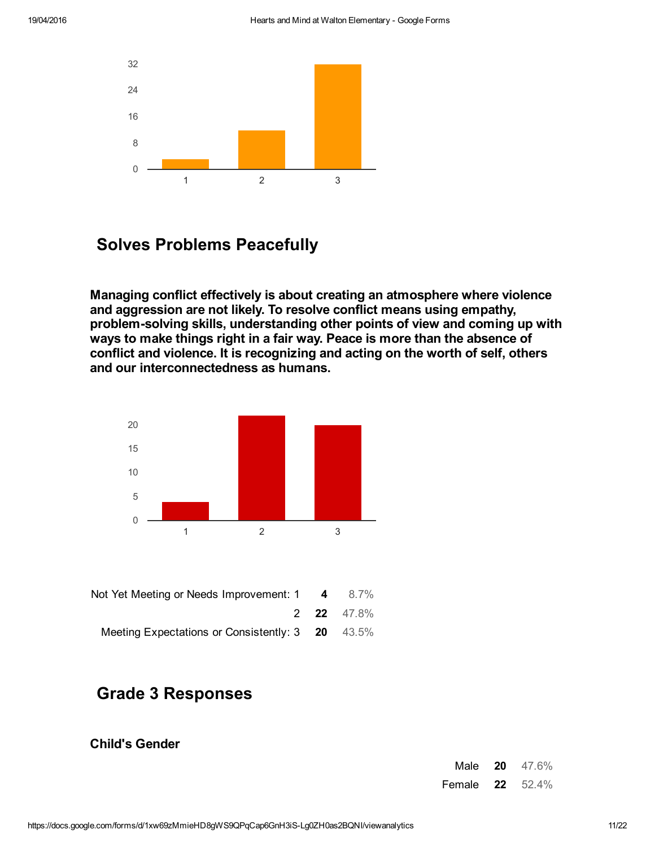

### Solves Problems Peacefully

Managing conflict effectively is about creating an atmosphere where violence and aggression are not likely. To resolve conflict means using empathy, problem-solving skills, understanding other points of view and coming up with ways to make things right in a fair way. Peace is more than the absence of conflict and violence. It is recognizing and acting on the worth of self, others and our interconnectedness as humans.



| 8.7%              | Not Yet Meeting or Needs Improvement: 1 4        |
|-------------------|--------------------------------------------------|
| <b>2 22</b> 47.8% |                                                  |
|                   | Meeting Expectations or Consistently: 3 20 43.5% |

# Grade 3 Responses

#### Child's Gender

| Male   | 20 | 47.6% |
|--------|----|-------|
| Female | 22 | 52.4% |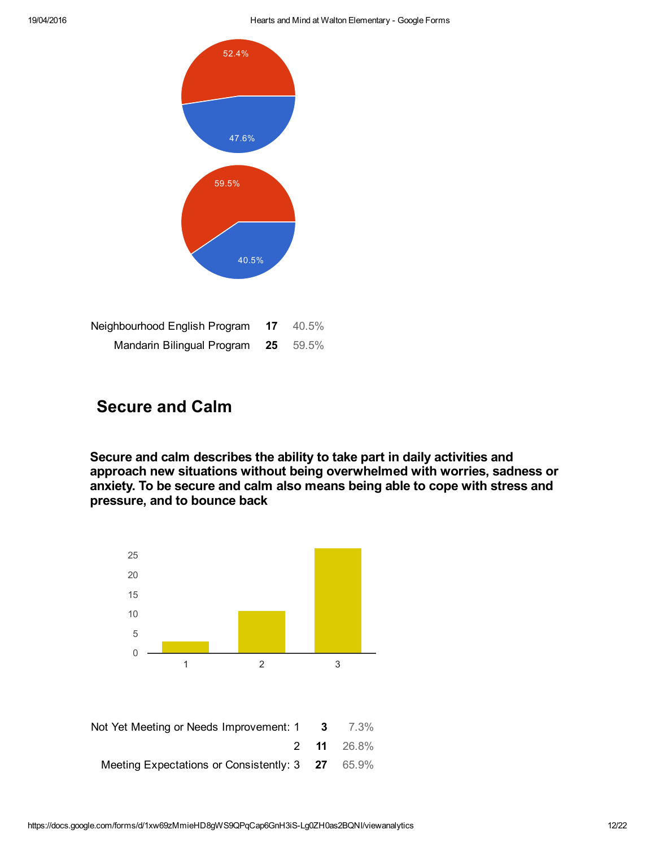

| Neighbourhood English Program | 17 | 40.5% |
|-------------------------------|----|-------|
| Mandarin Bilingual Program    | 25 | 59.5% |

### Secure and Calm

Secure and calm describes the ability to take part in daily activities and approach new situations without being overwhelmed with worries, sadness or anxiety. To be secure and calm also means being able to cope with stress and pressure, and to bounce back



| Not Yet Meeting or Needs Improvement: 1 3        | 7.3%              |
|--------------------------------------------------|-------------------|
|                                                  | <b>2 11</b> 26.8% |
| Meeting Expectations or Consistently: 3 27 65.9% |                   |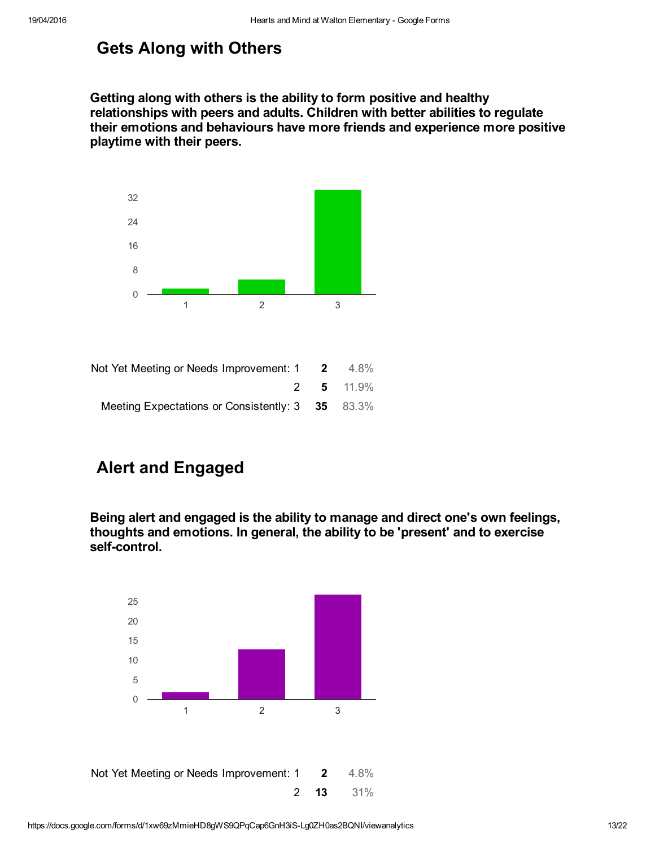# Gets Along with Others

Getting along with others is the ability to form positive and healthy relationships with peers and adults. Children with better abilities to regulate their emotions and behaviours have more friends and experience more positive playtime with their peers.



|                  | Not Yet Meeting or Needs Improvement: $1 \t 2 \t 4.8\%$ |  |
|------------------|---------------------------------------------------------|--|
| <b>2</b> 5 11.9% |                                                         |  |
|                  | Meeting Expectations or Consistently: 3 35 83.3%        |  |

# Alert and Engaged

Being alert and engaged is the ability to manage and direct one's own feelings, thoughts and emotions. In general, the ability to be 'present' and to exercise self-control.

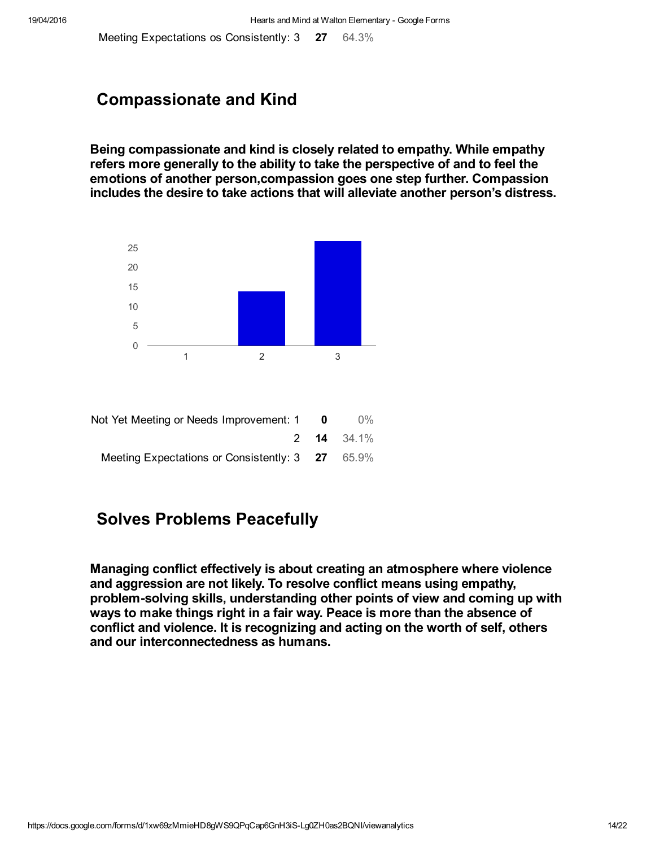Meeting Expectations os Consistently: 3 27 64.3%

### Compassionate and Kind

Being compassionate and kind is closely related to empathy. While empathy refers more generally to the ability to take the perspective of and to feel the emotions of another person,compassion goes one step further. Compassion includes the desire to take actions that will alleviate another person's distress.



| $0\%$             | - 0 | Not Yet Meeting or Needs Improvement: 1          |
|-------------------|-----|--------------------------------------------------|
| <b>2 14 34.1%</b> |     |                                                  |
|                   |     | Meeting Expectations or Consistently: 3 27 65.9% |

# Solves Problems Peacefully

Managing conflict effectively is about creating an atmosphere where violence and aggression are not likely. To resolve conflict means using empathy, problem-solving skills, understanding other points of view and coming up with ways to make things right in a fair way. Peace is more than the absence of conflict and violence. It is recognizing and acting on the worth of self, others and our interconnectedness as humans.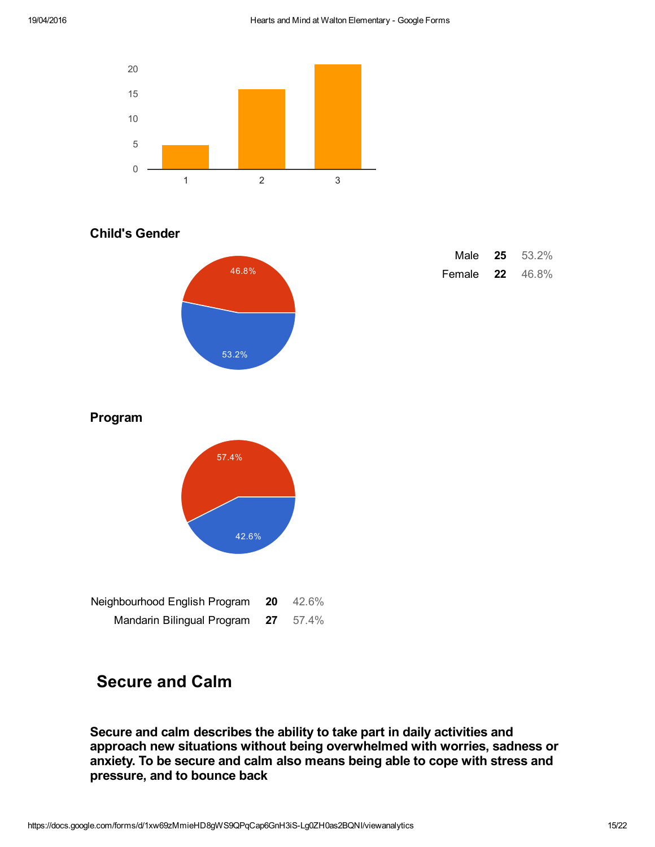

#### Child's Gender



| Male   | 25 | 53.2% |
|--------|----|-------|
| Female | 22 | 46.8% |

#### Program



| Neighbourhood English Program | 20 | 42.6% |
|-------------------------------|----|-------|
| Mandarin Bilingual Program    | 27 | 57.4% |

# Secure and Calm

Secure and calm describes the ability to take part in daily activities and approach new situations without being overwhelmed with worries, sadness or anxiety. To be secure and calm also means being able to cope with stress and pressure, and to bounce back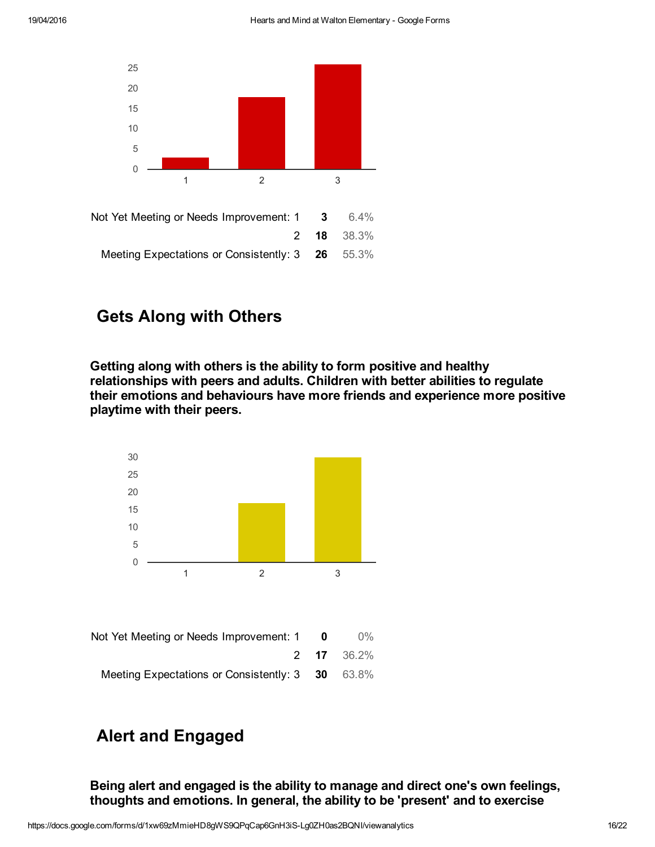

# Gets Along with Others

Getting along with others is the ability to form positive and healthy relationships with peers and adults. Children with better abilities to regulate their emotions and behaviours have more friends and experience more positive playtime with their peers.



# Alert and Engaged

Being alert and engaged is the ability to manage and direct one's own feelings, thoughts and emotions. In general, the ability to be 'present' and to exercise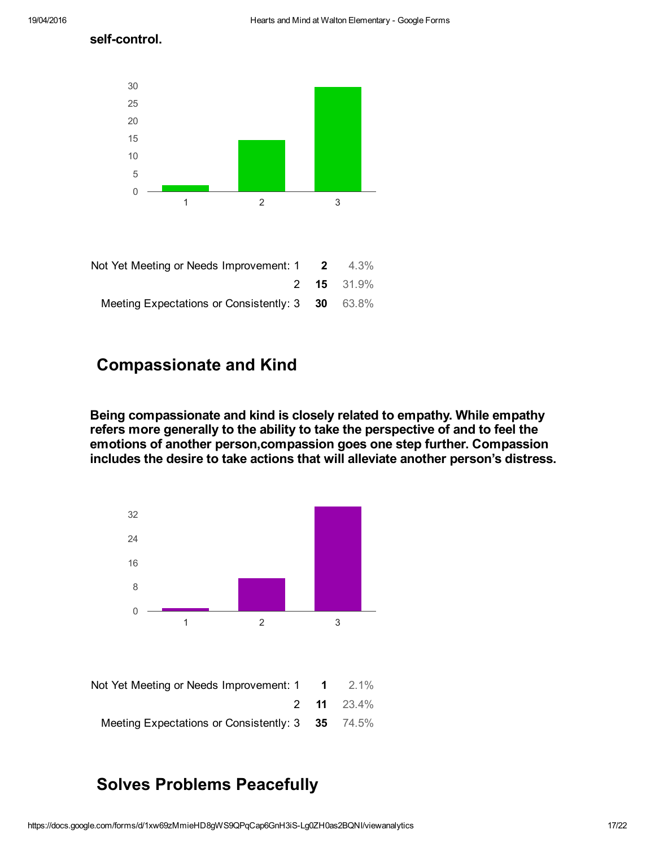self-control.



| Not Yet Meeting or Needs Improvement: $1 \t 2 \t 4.3\%$ |
|---------------------------------------------------------|
| <b>2 15</b> 31.9%                                       |
| Meeting Expectations or Consistently: 3 30 63.8%        |

### Compassionate and Kind

Being compassionate and kind is closely related to empathy. While empathy refers more generally to the ability to take the perspective of and to feel the emotions of another person,compassion goes one step further. Compassion includes the desire to take actions that will alleviate another person's distress.



| Not Yet Meeting or Needs Improvement: 1 1        | $2.1\%$           |
|--------------------------------------------------|-------------------|
|                                                  | <b>2 11</b> 23.4% |
| Meeting Expectations or Consistently: 3 35 74.5% |                   |

# Solves Problems Peacefully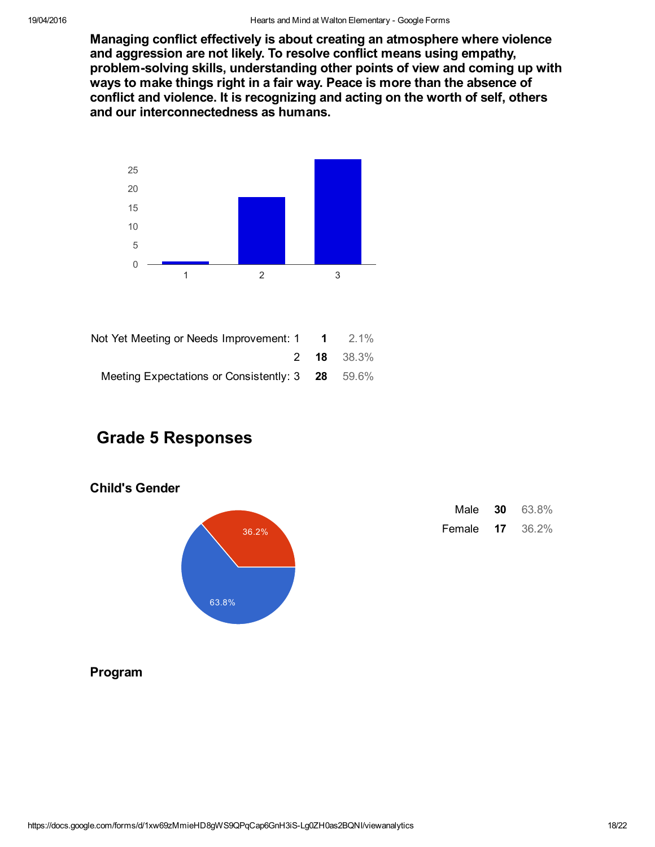Managing conflict effectively is about creating an atmosphere where violence and aggression are not likely. To resolve conflict means using empathy, problem-solving skills, understanding other points of view and coming up with ways to make things right in a fair way. Peace is more than the absence of conflict and violence. It is recognizing and acting on the worth of self, others and our interconnectedness as humans.



| Not Yet Meeting or Needs Improvement: $1 \t 1 \t 2.1\%$ |                   |
|---------------------------------------------------------|-------------------|
|                                                         | <b>2 18</b> 38.3% |
| Meeting Expectations or Consistently: 3 28 59.6%        |                   |

### Grade 5 Responses

#### Child's Gender



| Male   | 30 | 63.8% |
|--------|----|-------|
| Female | 17 | 36.2% |

#### Program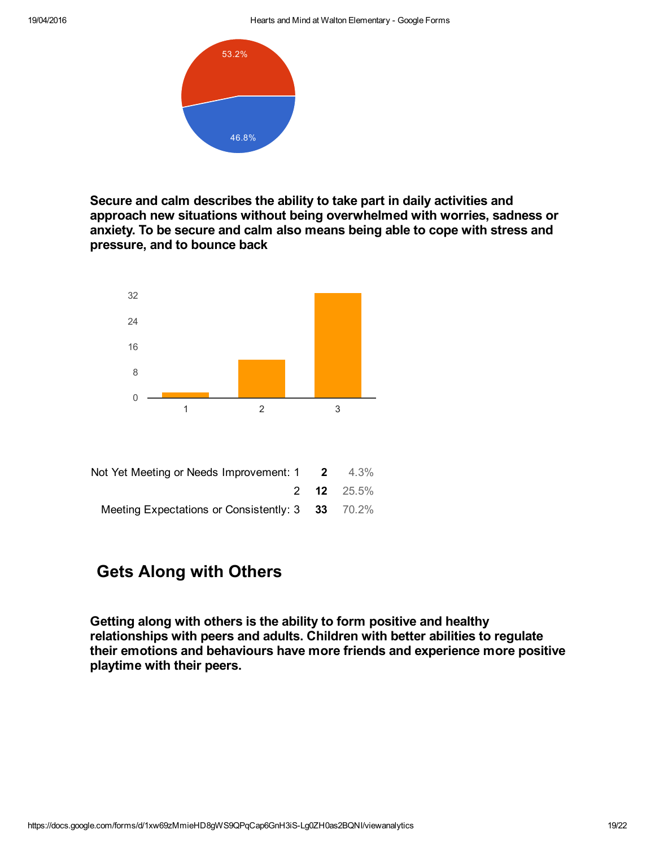

Secure and calm describes the ability to take part in daily activities and approach new situations without being overwhelmed with worries, sadness or anxiety. To be secure and calm also means being able to cope with stress and pressure, and to bounce back



# Gets Along with Others

Getting along with others is the ability to form positive and healthy relationships with peers and adults. Children with better abilities to regulate their emotions and behaviours have more friends and experience more positive playtime with their peers.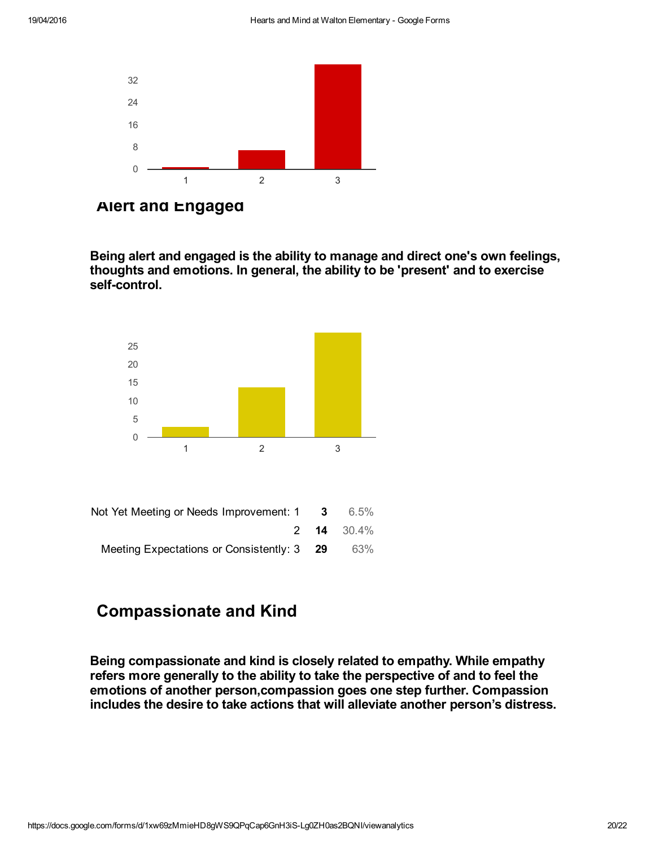

Alert and Engaged

Being alert and engaged is the ability to manage and direct one's own feelings, thoughts and emotions. In general, the ability to be 'present' and to exercise self-control.



| Not Yet Meeting or Needs Improvement: 1<br>$\overline{\mathbf{3}}$ | 6.5%              |
|--------------------------------------------------------------------|-------------------|
|                                                                    | <b>2 14</b> 30.4% |
| Meeting Expectations or Consistently: 3 29                         | 63%               |

# Compassionate and Kind

Being compassionate and kind is closely related to empathy. While empathy refers more generally to the ability to take the perspective of and to feel the emotions of another person,compassion goes one step further. Compassion includes the desire to take actions that will alleviate another person's distress.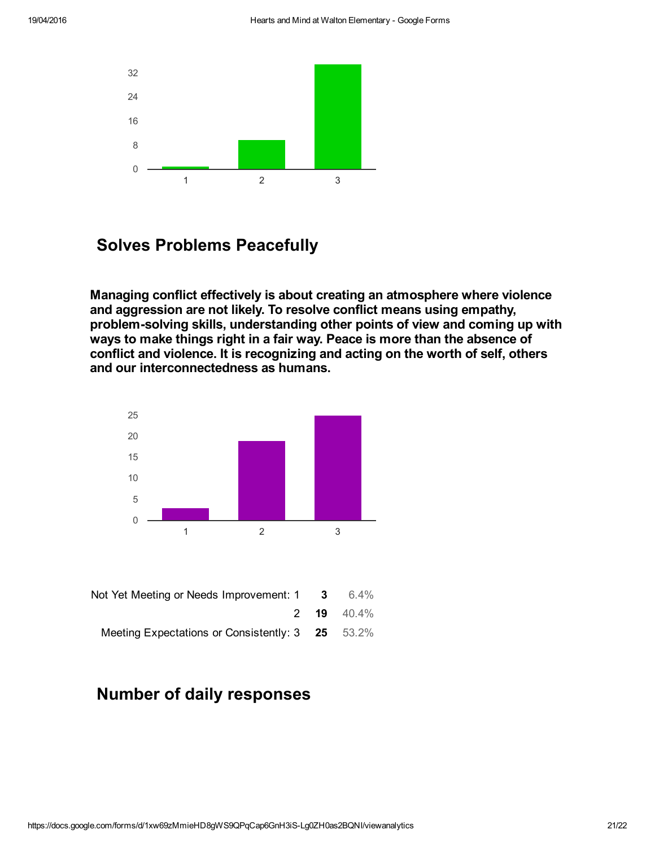

### Solves Problems Peacefully

Managing conflict effectively is about creating an atmosphere where violence and aggression are not likely. To resolve conflict means using empathy, problem-solving skills, understanding other points of view and coming up with ways to make things right in a fair way. Peace is more than the absence of conflict and violence. It is recognizing and acting on the worth of self, others and our interconnectedness as humans.



|                   | Not Yet Meeting or Needs Improvement: 1 3 6.4%   |
|-------------------|--------------------------------------------------|
| 2 <b>19</b> 40.4% |                                                  |
|                   | Meeting Expectations or Consistently: 3 25 53.2% |

### Number of daily responses